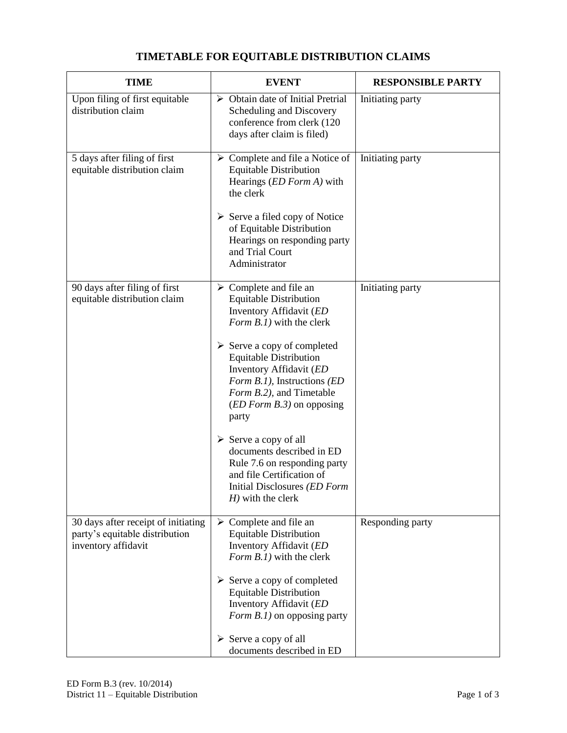## **TIME EVENT RESPONSIBLE PARTY** Upon filing of first equitable distribution claim Obtain date of Initial Pretrial Scheduling and Discovery conference from clerk (120 days after claim is filed) Initiating party 5 days after filing of first equitable distribution claim  $\triangleright$  Complete and file a Notice of Equitable Distribution Hearings (*ED Form A)* with the clerk  $\triangleright$  Serve a filed copy of Notice of Equitable Distribution Hearings on responding party and Trial Court Administrator Initiating party 90 days after filing of first equitable distribution claim  $\triangleright$  Complete and file an Equitable Distribution Inventory Affidavit (*ED Form B.1)* with the clerk  $\triangleright$  Serve a copy of completed Equitable Distribution Inventory Affidavit (*ED Form B.1),* Instructions *(ED Form B.2),* and Timetable (*ED Form B.3)* on opposing party  $\triangleright$  Serve a copy of all documents described in ED Rule 7.6 on responding party and file Certification of Initial Disclosures *(ED Form H)* with the clerk Initiating party 30 days after receipt of initiating party's equitable distribution inventory affidavit  $\triangleright$  Complete and file an Equitable Distribution Inventory Affidavit (*ED Form B.1)* with the clerk  $\triangleright$  Serve a copy of completed Equitable Distribution Inventory Affidavit (*ED Form B.1*) on opposing party  $\triangleright$  Serve a copy of all documents described in ED Responding party

## **TIMETABLE FOR EQUITABLE DISTRIBUTION CLAIMS**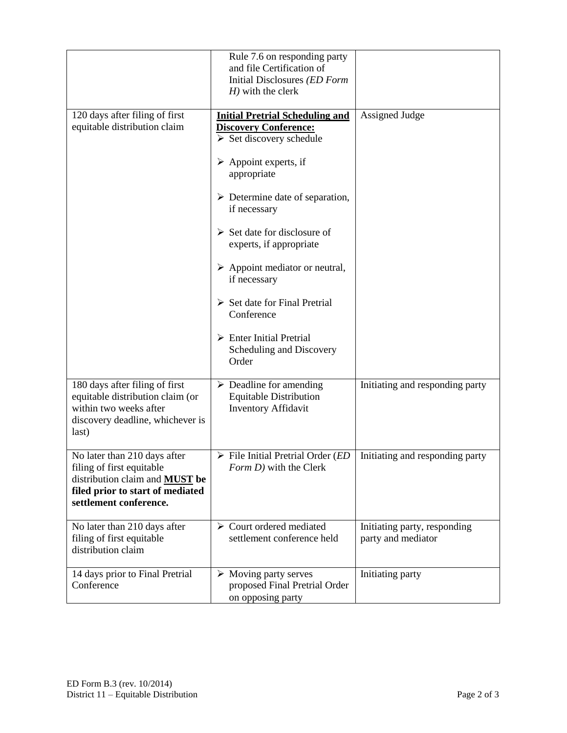|                                                                                                                                                                  | Rule 7.6 on responding party<br>and file Certification of<br>Initial Disclosures (ED Form<br>$H$ ) with the clerk                                                                                                                                                                                                                                                                                                                                                                              |                                                    |
|------------------------------------------------------------------------------------------------------------------------------------------------------------------|------------------------------------------------------------------------------------------------------------------------------------------------------------------------------------------------------------------------------------------------------------------------------------------------------------------------------------------------------------------------------------------------------------------------------------------------------------------------------------------------|----------------------------------------------------|
| 120 days after filing of first<br>equitable distribution claim                                                                                                   | <b>Initial Pretrial Scheduling and</b><br><b>Discovery Conference:</b><br>$\triangleright$ Set discovery schedule<br>$\triangleright$ Appoint experts, if<br>appropriate<br>$\triangleright$ Determine date of separation,<br>if necessary<br>$\triangleright$ Set date for disclosure of<br>experts, if appropriate<br>$\triangleright$ Appoint mediator or neutral,<br>if necessary<br>$\triangleright$ Set date for Final Pretrial<br>Conference<br>$\triangleright$ Enter Initial Pretrial | Assigned Judge                                     |
|                                                                                                                                                                  | Scheduling and Discovery<br>Order                                                                                                                                                                                                                                                                                                                                                                                                                                                              |                                                    |
| 180 days after filing of first<br>equitable distribution claim (or<br>within two weeks after<br>discovery deadline, whichever is<br>last)                        | $\triangleright$ Deadline for amending<br><b>Equitable Distribution</b><br><b>Inventory Affidavit</b>                                                                                                                                                                                                                                                                                                                                                                                          | Initiating and responding party                    |
| No later than 210 days after<br>filing of first equitable<br>distribution claim and <b>MUST</b> be<br>filed prior to start of mediated<br>settlement conference. | $\triangleright$ File Initial Pretrial Order ( <i>ED</i><br>Form D) with the Clerk                                                                                                                                                                                                                                                                                                                                                                                                             | Initiating and responding party                    |
| No later than 210 days after<br>filing of first equitable<br>distribution claim                                                                                  | $\triangleright$ Court ordered mediated<br>settlement conference held                                                                                                                                                                                                                                                                                                                                                                                                                          | Initiating party, responding<br>party and mediator |
| 14 days prior to Final Pretrial<br>Conference                                                                                                                    | $\triangleright$ Moving party serves<br>proposed Final Pretrial Order<br>on opposing party                                                                                                                                                                                                                                                                                                                                                                                                     | Initiating party                                   |